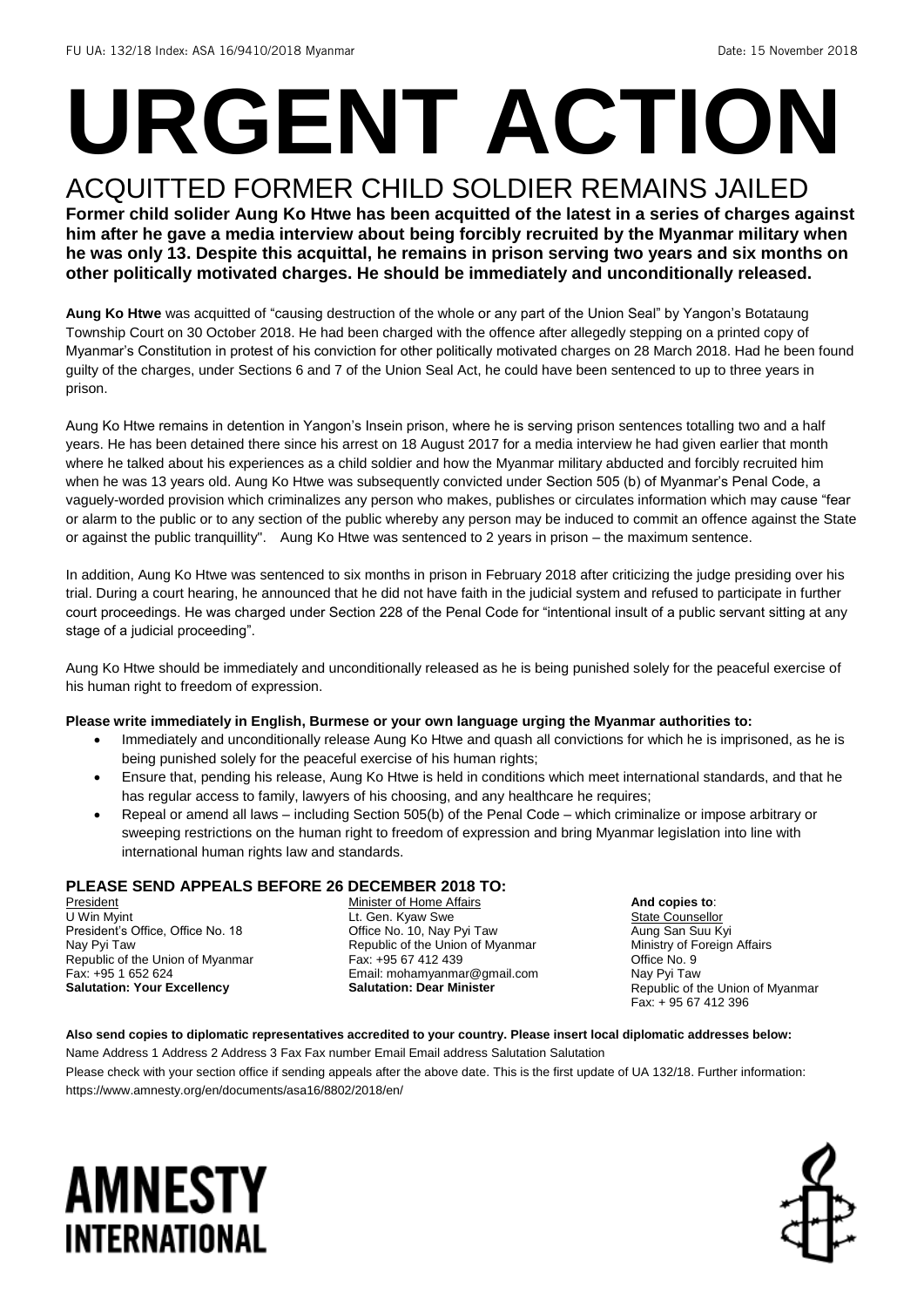# **URGENT ACTION**

#### ACQUITTED FORMER CHILD SOLDIER REMAINS JAILED **Former child solider Aung Ko Htwe has been acquitted of the latest in a series of charges against him after he gave a media interview about being forcibly recruited by the Myanmar military when he was only 13. Despite this acquittal, he remains in prison serving two years and six months on other politically motivated charges. He should be immediately and unconditionally released.**

**Aung Ko Htwe** was acquitted of "causing destruction of the whole or any part of the Union Seal" by Yangon's Botataung Township Court on 30 October 2018. He had been charged with the offence after allegedly stepping on a printed copy of Myanmar's Constitution in protest of his conviction for other politically motivated charges on 28 March 2018. Had he been found guilty of the charges, under Sections 6 and 7 of the Union Seal Act, he could have been sentenced to up to three years in prison.

Aung Ko Htwe remains in detention in Yangon's Insein prison, where he is serving prison sentences totalling two and a half years. He has been detained there since his arrest on 18 August 2017 for a media interview he had given earlier that month where he talked about his experiences as a child soldier and how the Myanmar military abducted and forcibly recruited him when he was 13 years old. Aung Ko Htwe was subsequently convicted under Section 505 (b) of Myanmar's Penal Code, a vaguely-worded provision which criminalizes any person who makes, publishes or circulates information which may cause "fear or alarm to the public or to any section of the public whereby any person may be induced to commit an offence against the State or against the public tranquillity". Aung Ko Htwe was sentenced to 2 years in prison – the maximum sentence.

In addition, Aung Ko Htwe was sentenced to six months in prison in February 2018 after criticizing the judge presiding over his trial. During a court hearing, he announced that he did not have faith in the judicial system and refused to participate in further court proceedings. He was charged under Section 228 of the Penal Code for "intentional insult of a public servant sitting at any stage of a judicial proceeding".

Aung Ko Htwe should be immediately and unconditionally released as he is being punished solely for the peaceful exercise of his human right to freedom of expression.

#### **Please write immediately in English, Burmese or your own language urging the Myanmar authorities to:**

- Immediately and unconditionally release Aung Ko Htwe and quash all convictions for which he is imprisoned, as he is being punished solely for the peaceful exercise of his human rights;
- Ensure that, pending his release, Aung Ko Htwe is held in conditions which meet international standards, and that he has regular access to family, lawyers of his choosing, and any healthcare he requires;
- Repeal or amend all laws including Section 505(b) of the Penal Code which criminalize or impose arbitrary or sweeping restrictions on the human right to freedom of expression and bring Myanmar legislation into line with international human rights law and standards.

#### **PLEASE SEND APPEALS BEFORE 26 DECEMBER 2018 TO:**

President U Win Myint President's Office, Office No. 18 Nay Pyi Taw Republic of the Union of Myanmar Fax: +95 1 652 624 **Salutation: Your Excellency** 

Minister of Home Affairs Lt. Gen. Kyaw Swe Office No. 10, Nay Pyi Taw Republic of the Union of Myanmar Fax: +95 67 412 439 Email: mohamyanmar@gmail.com **Salutation: Dear Minister**

**And copies to**: State Counsellor Aung San Suu Kyi Ministry of Foreign Affairs Office No. 9 Nay Pyi Taw Republic of the Union of Myanmar Fax: + 95 67 412 396

**Also send copies to diplomatic representatives accredited to your country. Please insert local diplomatic addresses below:** Name Address 1 Address 2 Address 3 Fax Fax number Email Email address Salutation Salutation

Please check with your section office if sending appeals after the above date. This is the first update of UA 132/18. Further information: https://www.amnesty.org/en/documents/asa16/8802/2018/en/